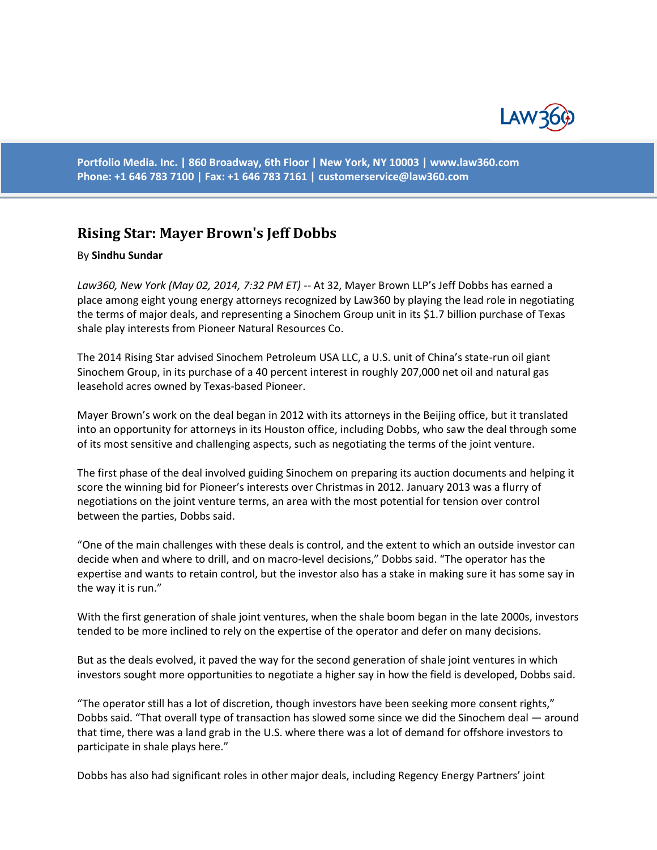

**Portfolio Media. Inc. | 860 Broadway, 6th Floor | New York, NY 10003 | www.law360.com Phone: +1 646 783 7100 | Fax: +1 646 783 7161 | [customerservice@law360.com](mailto:customerservice@law360.com)**

## **Rising Star: Mayer Brown's Jeff Dobbs**

## By **Sindhu Sundar**

*Law360, New York (May 02, 2014, 7:32 PM ET)* -- At 32, Mayer Brown LLP's Jeff Dobbs has earned a place among eight young energy attorneys recognized by Law360 by playing the lead role in negotiating the terms of major deals, and representing a Sinochem Group unit in its \$1.7 billion purchase of Texas shale play interests from Pioneer Natural Resources Co.

The 2014 Rising Star advised Sinochem Petroleum USA LLC, a U.S. unit of China's state-run oil giant Sinochem Group, in its purchase of a 40 percent interest in roughly 207,000 net oil and natural gas leasehold acres owned by Texas-based Pioneer.

Mayer Brown's work on the deal began in 2012 with its attorneys in the Beijing office, but it translated into an opportunity for attorneys in its Houston office, including Dobbs, who saw the deal through some of its most sensitive and challenging aspects, such as negotiating the terms of the joint venture.

The first phase of the deal involved guiding Sinochem on preparing its auction documents and helping it score the winning bid for Pioneer's interests over Christmas in 2012. January 2013 was a flurry of negotiations on the joint venture terms, an area with the most potential for tension over control between the parties, Dobbs said.

"One of the main challenges with these deals is control, and the extent to which an outside investor can decide when and where to drill, and on macro-level decisions," Dobbs said. "The operator has the expertise and wants to retain control, but the investor also has a stake in making sure it has some say in the way it is run."

With the first generation of shale joint ventures, when the shale boom began in the late 2000s, investors tended to be more inclined to rely on the expertise of the operator and defer on many decisions.

But as the deals evolved, it paved the way for the second generation of shale joint ventures in which investors sought more opportunities to negotiate a higher say in how the field is developed, Dobbs said.

"The operator still has a lot of discretion, though investors have been seeking more consent rights," Dobbs said. "That overall type of transaction has slowed some since we did the Sinochem deal — around that time, there was a land grab in the U.S. where there was a lot of demand for offshore investors to participate in shale plays here."

Dobbs has also had significant roles in other major deals, including Regency Energy Partners' joint